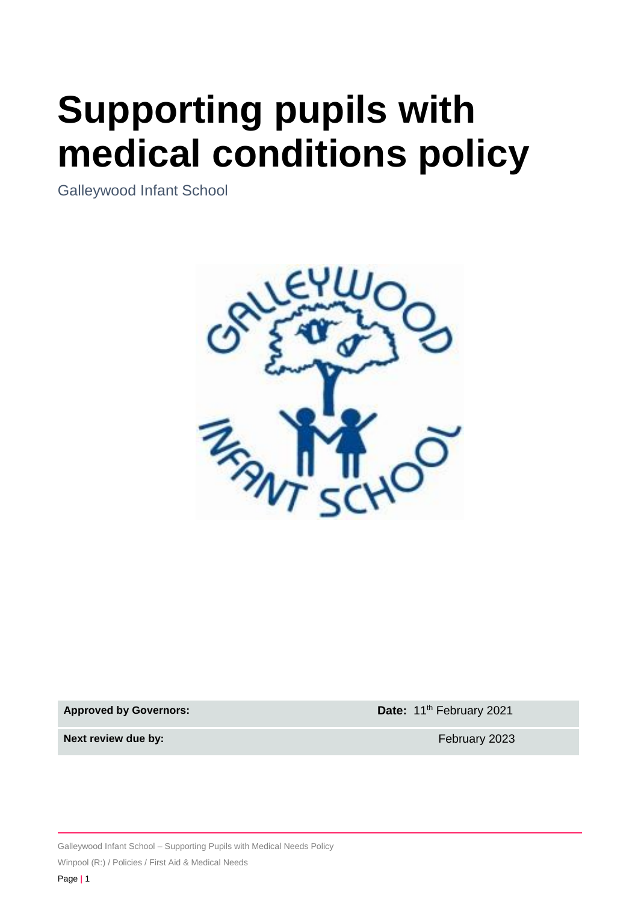# **Supporting pupils with medical conditions policy**

Galleywood Infant School



**Approved by Governors: Date:** 11<sup>th</sup> February 2021

**Next review due by: Next review due by: February 2023** 

Galleywood Infant School – Supporting Pupils with Medical Needs Policy

Winpool (R:) / Policies / First Aid & Medical Needs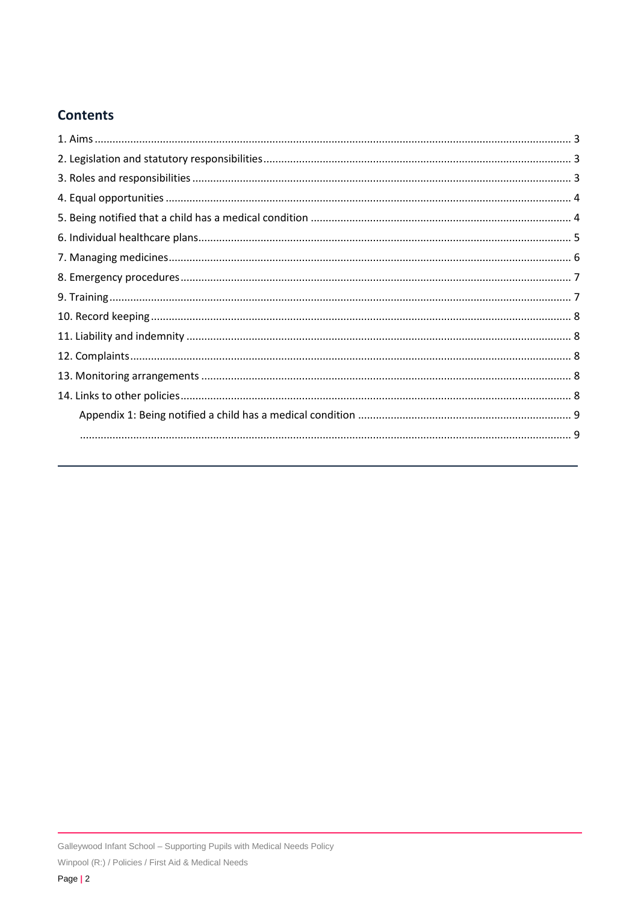# **Contents**

<span id="page-1-0"></span>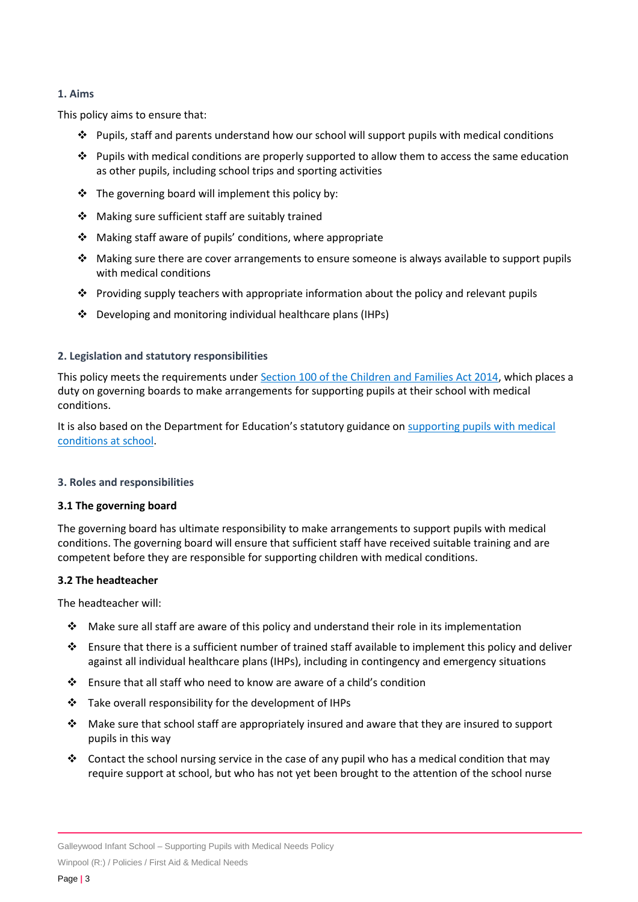#### **1. Aims**

This policy aims to ensure that:

- $\dots$  Pupils, staff and parents understand how our school will support pupils with medical conditions
- $\dots$  Pupils with medical conditions are properly supported to allow them to access the same education as other pupils, including school trips and sporting activities
- ❖ The governing board will implement this policy by:
- ❖ Making sure sufficient staff are suitably trained
- ❖ Making staff aware of pupils' conditions, where appropriate
- ❖ Making sure there are cover arrangements to ensure someone is always available to support pupils with medical conditions
- ❖ Providing supply teachers with appropriate information about the policy and relevant pupils
- ❖ Developing and monitoring individual healthcare plans (IHPs)

#### <span id="page-2-0"></span>**2. Legislation and statutory responsibilities**

This policy meets the requirements under [Section 100 of the Children and Families Act 2014,](http://www.legislation.gov.uk/ukpga/2014/6/part/5/crossheading/pupils-with-medical-conditions) which places a duty on governing boards to make arrangements for supporting pupils at their school with medical conditions.

It is also based on the Department for Education's statutory guidance on supporting pupils with medical [conditions at school.](https://www.gov.uk/government/publications/supporting-pupils-at-school-with-medical-conditions--3)

#### <span id="page-2-1"></span>**3. Roles and responsibilities**

#### **3.1 The governing board**

The governing board has ultimate responsibility to make arrangements to support pupils with medical conditions. The governing board will ensure that sufficient staff have received suitable training and are competent before they are responsible for supporting children with medical conditions.

#### **3.2 The headteacher**

The headteacher will:

- ◆ Make sure all staff are aware of this policy and understand their role in its implementation
- ❖ Ensure that there is a sufficient number of trained staff available to implement this policy and deliver against all individual healthcare plans (IHPs), including in contingency and emergency situations
- ❖ Ensure that all staff who need to know are aware of a child's condition
- $\cdot \cdot$  Take overall responsibility for the development of IHPs
- ❖ Make sure that school staff are appropriately insured and aware that they are insured to support pupils in this way
- ❖ Contact the school nursing service in the case of any pupil who has a medical condition that may require support at school, but who has not yet been brought to the attention of the school nurse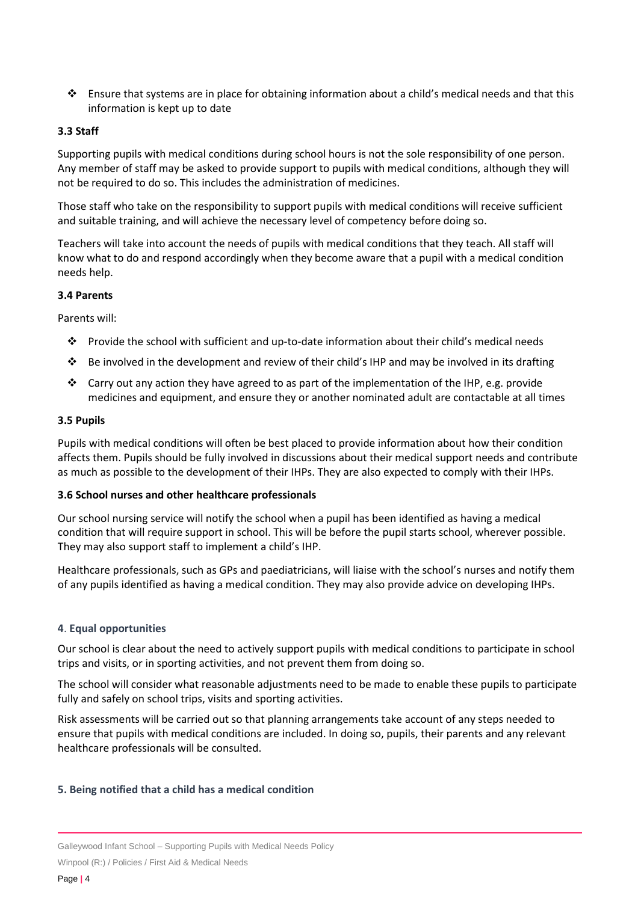❖ Ensure that systems are in place for obtaining information about a child's medical needs and that this information is kept up to date

#### **3.3 Staff**

Supporting pupils with medical conditions during school hours is not the sole responsibility of one person. Any member of staff may be asked to provide support to pupils with medical conditions, although they will not be required to do so. This includes the administration of medicines.

Those staff who take on the responsibility to support pupils with medical conditions will receive sufficient and suitable training, and will achieve the necessary level of competency before doing so.

Teachers will take into account the needs of pupils with medical conditions that they teach. All staff will know what to do and respond accordingly when they become aware that a pupil with a medical condition needs help.

#### **3.4 Parents**

Parents will:

- ❖ Provide the school with sufficient and up-to-date information about their child's medical needs
- ❖ Be involved in the development and review of their child's IHP and may be involved in its drafting
- ◆ Carry out any action they have agreed to as part of the implementation of the IHP, e.g. provide medicines and equipment, and ensure they or another nominated adult are contactable at all times

#### **3.5 Pupils**

Pupils with medical conditions will often be best placed to provide information about how their condition affects them. Pupils should be fully involved in discussions about their medical support needs and contribute as much as possible to the development of their IHPs. They are also expected to comply with their IHPs.

#### **3.6 School nurses and other healthcare professionals**

Our school nursing service will notify the school when a pupil has been identified as having a medical condition that will require support in school. This will be before the pupil starts school, wherever possible. They may also support staff to implement a child's IHP.

Healthcare professionals, such as GPs and paediatricians, will liaise with the school's nurses and notify them of any pupils identified as having a medical condition. They may also provide advice on developing IHPs.

#### <span id="page-3-0"></span>**4**. **Equal opportunities**

Our school is clear about the need to actively support pupils with medical conditions to participate in school trips and visits, or in sporting activities, and not prevent them from doing so.

The school will consider what reasonable adjustments need to be made to enable these pupils to participate fully and safely on school trips, visits and sporting activities.

Risk assessments will be carried out so that planning arrangements take account of any steps needed to ensure that pupils with medical conditions are included. In doing so, pupils, their parents and any relevant healthcare professionals will be consulted.

#### <span id="page-3-1"></span>**5. Being notified that a child has a medical condition**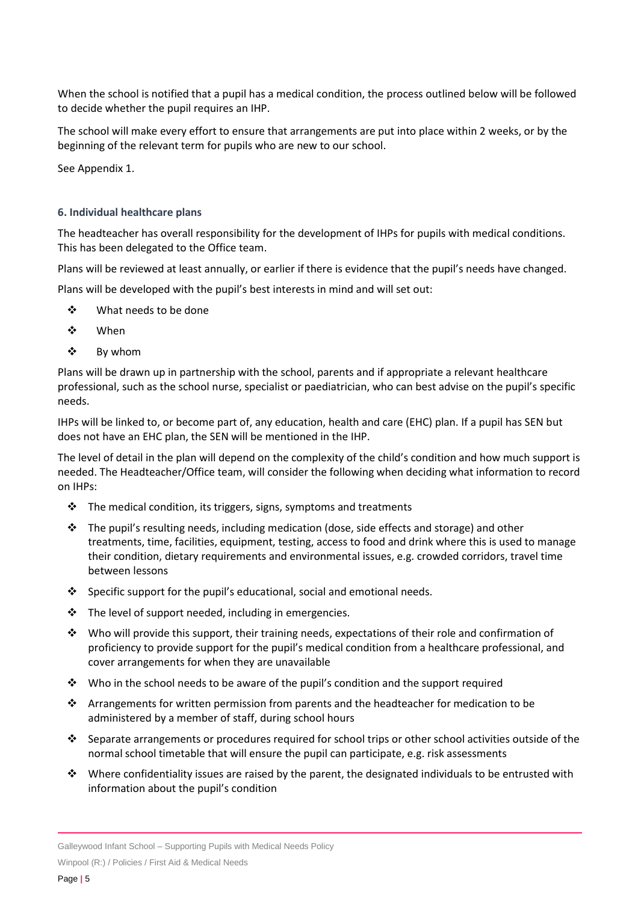When the school is notified that a pupil has a medical condition, the process outlined below will be followed to decide whether the pupil requires an IHP.

The school will make every effort to ensure that arrangements are put into place within 2 weeks, or by the beginning of the relevant term for pupils who are new to our school.

See Appendix 1.

#### <span id="page-4-0"></span>**6. Individual healthcare plans**

The headteacher has overall responsibility for the development of IHPs for pupils with medical conditions. This has been delegated to the Office team.

Plans will be reviewed at least annually, or earlier if there is evidence that the pupil's needs have changed.

Plans will be developed with the pupil's best interests in mind and will set out:

- ❖ What needs to be done
- ❖ When
- ❖ By whom

Plans will be drawn up in partnership with the school, parents and if appropriate a relevant healthcare professional, such as the school nurse, specialist or paediatrician, who can best advise on the pupil's specific needs.

IHPs will be linked to, or become part of, any education, health and care (EHC) plan. If a pupil has SEN but does not have an EHC plan, the SEN will be mentioned in the IHP.

The level of detail in the plan will depend on the complexity of the child's condition and how much support is needed. The Headteacher/Office team, will consider the following when deciding what information to record on IHPs:

- $\cdot$  The medical condition, its triggers, signs, symptoms and treatments
- $\cdot \cdot$  The pupil's resulting needs, including medication (dose, side effects and storage) and other treatments, time, facilities, equipment, testing, access to food and drink where this is used to manage their condition, dietary requirements and environmental issues, e.g. crowded corridors, travel time between lessons
- ❖ Specific support for the pupil's educational, social and emotional needs.
- ❖ The level of support needed, including in emergencies.
- ❖ Who will provide this support, their training needs, expectations of their role and confirmation of proficiency to provide support for the pupil's medical condition from a healthcare professional, and cover arrangements for when they are unavailable
- $\div$  Who in the school needs to be aware of the pupil's condition and the support required
- ❖ Arrangements for written permission from parents and the headteacher for medication to be administered by a member of staff, during school hours
- $\clubsuit$  Separate arrangements or procedures required for school trips or other school activities outside of the normal school timetable that will ensure the pupil can participate, e.g. risk assessments
- ❖ Where confidentiality issues are raised by the parent, the designated individuals to be entrusted with information about the pupil's condition

Galleywood Infant School – Supporting Pupils with Medical Needs Policy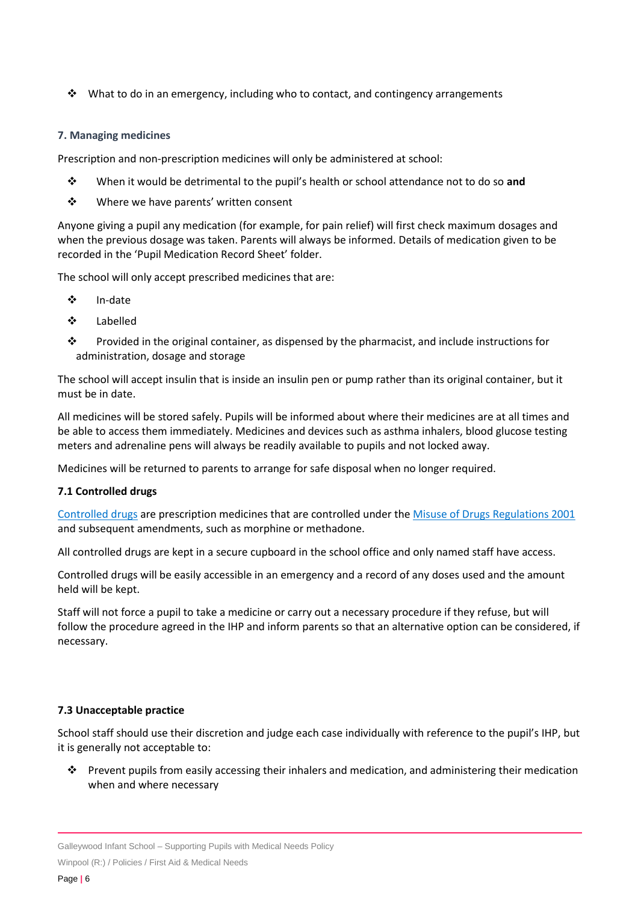❖ What to do in an emergency, including who to contact, and contingency arrangements

#### <span id="page-5-0"></span>**7. Managing medicines**

Prescription and non-prescription medicines will only be administered at school:

- ❖ When it would be detrimental to the pupil's health or school attendance not to do so **and**
- ❖ Where we have parents' written consent

Anyone giving a pupil any medication (for example, for pain relief) will first check maximum dosages and when the previous dosage was taken. Parents will always be informed. Details of medication given to be recorded in the 'Pupil Medication Record Sheet' folder.

The school will only accept prescribed medicines that are:

- ❖ In-date
- ❖ Labelled
- ❖ Provided in the original container, as dispensed by the pharmacist, and include instructions for administration, dosage and storage

The school will accept insulin that is inside an insulin pen or pump rather than its original container, but it must be in date.

All medicines will be stored safely. Pupils will be informed about where their medicines are at all times and be able to access them immediately. Medicines and devices such as asthma inhalers, blood glucose testing meters and adrenaline pens will always be readily available to pupils and not locked away.

Medicines will be returned to parents to arrange for safe disposal when no longer required.

# **7.1 Controlled drugs**

[Controlled drugs](http://www.nhs.uk/chq/Pages/1391.aspx?CategoryID=73) are prescription medicines that are controlled under the [Misuse of Drugs Regulations 2001](http://www.legislation.gov.uk/uksi/2001/3998/schedule/1/made) and subsequent amendments, such as morphine or methadone.

All controlled drugs are kept in a secure cupboard in the school office and only named staff have access.

Controlled drugs will be easily accessible in an emergency and a record of any doses used and the amount held will be kept.

Staff will not force a pupil to take a medicine or carry out a necessary procedure if they refuse, but will follow the procedure agreed in the IHP and inform parents so that an alternative option can be considered, if necessary.

# **7.3 Unacceptable practice**

School staff should use their discretion and judge each case individually with reference to the pupil's IHP, but it is generally not acceptable to:

❖ Prevent pupils from easily accessing their inhalers and medication, and administering their medication when and where necessary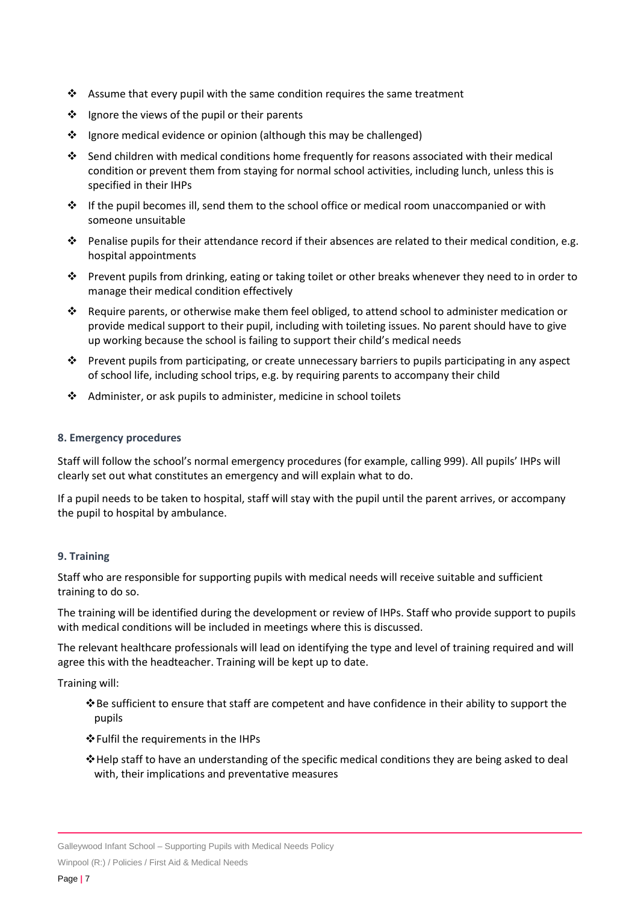- ❖ Assume that every pupil with the same condition requires the same treatment
- ❖ Ignore the views of the pupil or their parents
- ❖ Ignore medical evidence or opinion (although this may be challenged)
- ❖ Send children with medical conditions home frequently for reasons associated with their medical condition or prevent them from staying for normal school activities, including lunch, unless this is specified in their IHPs
- ❖ If the pupil becomes ill, send them to the school office or medical room unaccompanied or with someone unsuitable
- ❖ Penalise pupils for their attendance record if their absences are related to their medical condition, e.g. hospital appointments
- ❖ Prevent pupils from drinking, eating or taking toilet or other breaks whenever they need to in order to manage their medical condition effectively
- ❖ Require parents, or otherwise make them feel obliged, to attend school to administer medication or provide medical support to their pupil, including with toileting issues. No parent should have to give up working because the school is failing to support their child's medical needs
- ❖ Prevent pupils from participating, or create unnecessary barriers to pupils participating in any aspect of school life, including school trips, e.g. by requiring parents to accompany their child
- ❖ Administer, or ask pupils to administer, medicine in school toilets

#### <span id="page-6-0"></span>**8. Emergency procedures**

Staff will follow the school's normal emergency procedures (for example, calling 999). All pupils' IHPs will clearly set out what constitutes an emergency and will explain what to do.

If a pupil needs to be taken to hospital, staff will stay with the pupil until the parent arrives, or accompany the pupil to hospital by ambulance.

# <span id="page-6-1"></span>**9. Training**

Staff who are responsible for supporting pupils with medical needs will receive suitable and sufficient training to do so.

The training will be identified during the development or review of IHPs. Staff who provide support to pupils with medical conditions will be included in meetings where this is discussed.

The relevant healthcare professionals will lead on identifying the type and level of training required and will agree this with the headteacher. Training will be kept up to date.

Training will:

- ❖Be sufficient to ensure that staff are competent and have confidence in their ability to support the pupils
- ❖Fulfil the requirements in the IHPs
- ❖Help staff to have an understanding of the specific medical conditions they are being asked to deal with, their implications and preventative measures

Galleywood Infant School – Supporting Pupils with Medical Needs Policy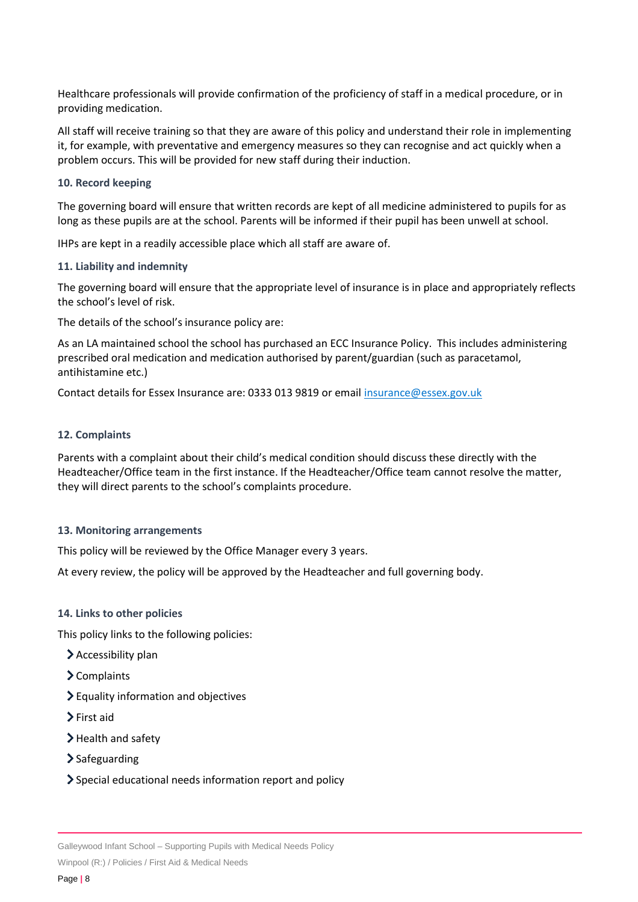Healthcare professionals will provide confirmation of the proficiency of staff in a medical procedure, or in providing medication.

All staff will receive training so that they are aware of this policy and understand their role in implementing it, for example, with preventative and emergency measures so they can recognise and act quickly when a problem occurs. This will be provided for new staff during their induction.

#### <span id="page-7-0"></span>**10. Record keeping**

The governing board will ensure that written records are kept of all medicine administered to pupils for as long as these pupils are at the school. Parents will be informed if their pupil has been unwell at school.

IHPs are kept in a readily accessible place which all staff are aware of.

#### <span id="page-7-1"></span>**11. Liability and indemnity**

The governing board will ensure that the appropriate level of insurance is in place and appropriately reflects the school's level of risk.

The details of the school's insurance policy are:

As an LA maintained school the school has purchased an ECC Insurance Policy. This includes administering prescribed oral medication and medication authorised by parent/guardian (such as paracetamol, antihistamine etc.)

Contact details for Essex Insurance are: 0333 013 9819 or email [insurance@essex.gov.uk](mailto:insurance@essex.gov.uk)

#### <span id="page-7-2"></span>**12. Complaints**

Parents with a complaint about their child's medical condition should discuss these directly with the Headteacher/Office team in the first instance. If the Headteacher/Office team cannot resolve the matter, they will direct parents to the school's complaints procedure.

#### <span id="page-7-3"></span>**13. Monitoring arrangements**

This policy will be reviewed by the Office Manager every 3 years.

At every review, the policy will be approved by the Headteacher and full governing body.

#### <span id="page-7-4"></span>**14. Links to other policies**

This policy links to the following policies:

- $\blacktriangleright$  Accessibility plan
- > Complaints
- Equality information and objectives
- $\sum$  First aid
- > Health and safety
- $\sum$  Safeguarding
- Special educational needs information report and policy

Galleywood Infant School – Supporting Pupils with Medical Needs Policy